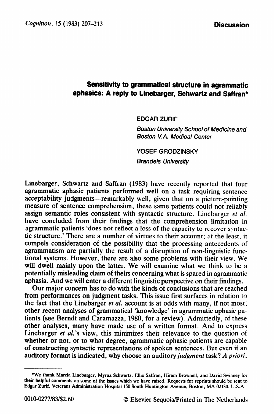## **grammatical structure in agramnatic Sensitivity to**  I aphasics: A reply to Linebarger, Schwartz and Saffran\*

**EDGAR ZURIF** 

*Boston University School of Medicine and Boston V.A. Medical Center* 

**YOSEF GRODZINSKY** 

*Brandeis University* 

Linebarget, Schwartz and Saffran (1983) have recently reported that **four**  agrammatic aphasic patients performed well on a task requiring sentence acceptability judgments—remarkably well, given that on a picture-pointing measure of sentence comprehension, these same patients could not reliably assign semantic roles consistent with syntactic structure. Linebarger *et al.*  have concluded from their findings that the comprehension limitation in agrammatic patients 'does not reflect a loss of the capacity to recover syntactic structure.' There are a number of virtues to their account; at the least, it compels consideration of the possibility that the processing antecedents of agrammatism are partially the result of a disruption of non-linguistic functional systems. However, there are also some problems with their view. We will dwell mainly upon the latter. We will examine what we think to be a potentially misleading claim of theirs concerning what is spared in agrammatic aphasia. And we will enter a different linguistic perspective on their findings.

Our major concern has to do with the kinds of conclusions that are reached from performances on judgment tasks. This issue first surfaces in relation to the fact that the Linebarger *et al.* account is at odds with many, if not most, other recent analyses of grammatical 'knowledge' in agrammatic aphasic patients (see Berndt and Caramazza, 1980, for a review). Admittedly, of these other analyses, many have made use of a written format. And to express Linebarger et al.'s view, this minimizes their relevance to the question of whether or not, or to what degree, agrammatic aphasic patients are capable of constructing syntactic representations of spoken sentences. But even if an auditory format is indicated, why choose an auditory judgment task? *A priori,* 

**<sup>\*</sup>We thank Marcia Linebarger, Myma Schwartz, Ellie Saffran, Hiram Brownell, and David Swinney for their helpful comments on some of the issues which we have raised. Requests for reprints should be sent to Edgar Zurif, Veterans Administration Hospital 150 South Huntington Avenue, Boston, MA 02130, U.S.A.**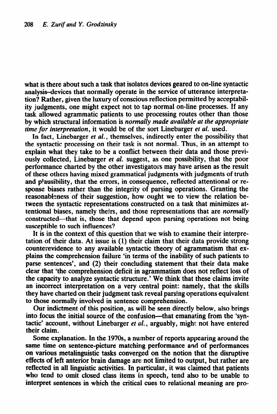what is there about such a task that isolates devices geared to on-line syntactic analysis-devices that normally operate in the service of utterance interpretation? Rather, given the luxury of conscious reflection permitted by acceptability judgments, one might expect not to tap normal on-line processes. If any task allowed agrammatic patients to use processing routes other than those by which structural information is *normally made available at the appropriate time for interpretation,* it would be of the sort Linebarger *et al.* used.

In fact, Linebarger *et al.,* themselves, indirectly enter the possibility that the syntactic processing on their task is not normal. Thus, in an attempt to explain what they take to be a conflict between their data and those previously collected, Linebarger *et al.* suggest, as one possibility, that the poor performance charted by the other investigators may have arisen as the result of these others having mixed grammatical judgments with judgments of truth and plausibility, that the errors, in consequence, reflected attentional or response biases rather than the integrity of parsing operations. Granting the reasonableness of their suggestion, how ought we to view the relation between the syntactic representations constructed on a task that minimizes attentional biases, namely theirs, and those representations that are *normally*  constructed-that is, those that depend upon parsing operations not being susceptible to such influences?

It is in the context of this question that we wish to examine their interpretation of their data. At issue is (1) their claim that their data provide strong counterevidence to any available syntactic theory of agrammatism that explains the comprehension failure 'in terms of the inability of such patients to parse sentences', and (2) their concluding statement that their data make clear that 'the comprehension deficit in agrammatism does not reflect loss of the capacity to analyze syntactic structure.' We think that these claims invite an incorrect interpretation on a very central point: namely, that the skills they have charted on their judgment task reveal parsing operations equivalent to those normally involved in sentence comprehension.

Our indictment of this position, as will be seen directly below, also brings into focus the initial source of the confusion—that emanating from the 'syntactic' account, without Linebarger *et al.,* arguably, might not have entered their claim.

Some explanation. In the 1970s, a number of reports appearing around the same time on sentence-picture matching performance and of performances on various metalinguistic tasks converged on the notion that the disruptive effects of left anterior brain damage are not limited to output, but rather are reflected in all linguistic activities. In particular, it was claimed that patients who tend to omit closed class items in speech, tend also to be unable to interpret sentences in which the critical cues to relational meaning are pro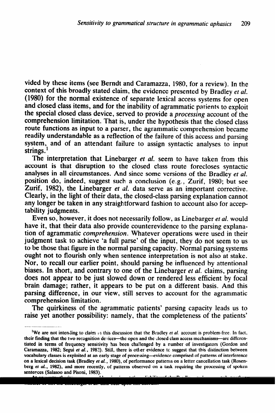vided by these items (see Berndt and Caramazza, 1980, for a review). In the context of this broadly stated claim, the evidence presented by Bradley ef *al.*  (1980) for the normal existence of separate lexical access systems for open and closed class items, and for the inability of agrammatic patients to exploit the special closed class device, served to provide a processing account of the comprehension limitation. That is, under the hypothesis that the closed class route functions as input to a parser, the agrammatic comprehension became readily understandable as a reflection of the failure of this access and parsing system, and of an attendant failure to assign syntactic analyses to input strings. $<sup>1</sup>$ </sup>

The interpretation that Linebarger et *at. seem* to have taken from this account is that disruption to the closed class route forecloses syntactic analyses in all circumstances. And since some versions of the Bradley et *al.*  position do, indeed, suggest such a conclusion (e.g., Zurif, 1980; but see Zurif, 1982), the Linebarger et al. data serve as an important corrective. Clearly, in the light of their data, the closed-class parsing explanation cannot any longer be taken in any straightforward fashion to account also for acceptability judgments.

Even so, however, it does not necessarily follow, as Linebarger et *al.* would have it, that their data also provide counterevidence to the parsing explanation of agrammatic comprehension. Whatever operations were used in their judgment task to achieve 'a full parse' of the input, they do not seem to us to be those that figure in the normal parsing capacity. Normal parsing systems ought not to flourish only when sentence interpretation is not also at stake. Nor, to recall our earlier point, should parsing be influenced by attentional biases. In short, and contrary to one of the Linebarger *et al.* claims, parsing does not appear to be just slowed down or rendered less efficient by focal brain damage; rather, it appears to be put on a different basis. And this parsing difference, in our view, still serves to account for the agrammatic comprehension limitation.

The quirkiness of the agrammatic patients' parsing capacity leads us to raise yet another possibility: namely, that the completeness of the patients'

**At any rate, the issue we are addressing is not the reliability of t.he Bradley et ar'. account, but rather,** 

**whether or not the Linebarger et al. data bear upon this account.** 

<sup>&</sup>lt;sup>1</sup>We are not intending to claim in this discussion that the Bradley *et al.* account is problem-free. In fact, their finding that the two recognition devices—the open and the closed class access mechanisms—are differentiated in terms of frequency sensitivity has been challenged by a number of investigators (Gordon and **Caramazza, 1982; Segui et** *al.,* **1982). Still, there is other evidence tc suggest that this distinction between vocabulary classes is exploited at an early stage of processing-evidence comprised of patterns of interference**  on a lexical decision task (Bradley *et al.*, 1980), of performance patterns on a letter cancellation task (Rosen**berg** *et al.,* **1982). and more recently, of patterns observed on a task requiring the processing of spoken sentences (Salasoo and Pisoni, 1983).**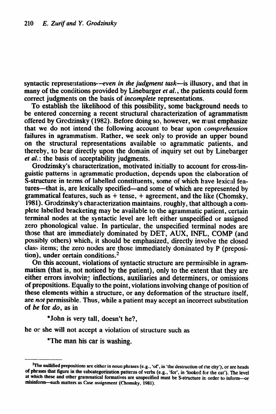syntactic representations--even in the *judgment task*--is illusory, and that in many of the conditions provided by Linebarger et al., the patients could form correct judgments on the basis of *incompllete* representations.

To establish the likelihood of this possibility, some background needs to be entered concerning a recent structural characterization of agrammatism offered by Grodzinsky (1982). Before doing so, however, we must emphasize that we do not intend the following account to bear upon *comprehension*  failures in agrammatism. Rather, we seek only to provide an upper bound on the structural representations available to agrammatic patients, and thereby, to bear directly upon the domain of inquiry set out by Linebarger et *al.* : the basis of acceptability judgments.

Grodzinsky's characterization, motivated initially to account for cross-linguistic patterns in agrammatic production, depends upon the elaboration of S-structure in terms of labelled constituents, some of which have lexical features—that is, are lexically specified—and some of which are represented by grammatical features, such as  $+$  tense,  $+$  agreement, and the like (Chomsky, 1981). Grodzinsky's characterization maintains, roughly, that although a complete labelled bracketing may be available to the agrammatic patient, certain terminal nodes at the syntactic level are left either unspecified or assigned zero phonological value. In particular, the unspecified terminal nodes are those that are immediately dominated by DET, AUX, INFL, COMP (and possibly others) which, it should be emphasized, directly involve the closed class items; the zero nodes are those immediately dominated by P (preposition), under certain conditions. $<sup>2</sup>$ </sup>

On this account, violations of syntactic structure are permissible in agrammatism (that is, not noticed by the patient), only to the extent that they are either errors involving inflections, auxiliaries and determiners, or omissions of prepositions. Equally to the point, violations involving change of position of these elements within a structure, or any deformation of the structure itself, are not permissible. Thus, while a patient may accept an incorrect substitution of be for *do,* as in

\*John is very tall, doesn't he?,

he or she will not accept a violation of structure such as

\*The man his car is washing.

<sup>&</sup>lt;sup>2</sup>The nullified prepositions are either in noun phrases (e.g., 'of', in 'the destruction of the city'), or are heads of phrases that figure in the subcategorization patterns of verbs (e.g., 'for', in 'looked for the cat'). The level **at which these and other grammatical formatives are unspecified must be S-structure ir, order to inform-or**  misinform-such matters as Case assignment (Chomsky, 1981).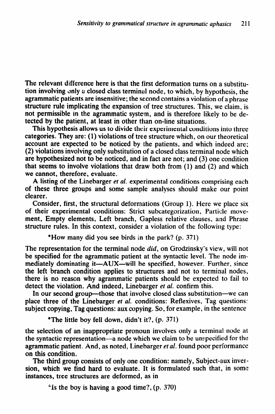The relevant difference here is that the first deformation turns on a substitution involving only a closed class terminal node, to which, by hypothesis, the agrammatic patients are insensitive; the second contains a violation of a phrase structure rule implicating the expansion of tree structures. This, we claim, is not permissible in the agrammatic system, and is therefore likely to be detected by the patient, at least in other than on-line situations.

This hypothesis allows us to divide their experimental conditions into three categories. They are: (1) violations of tree structure which, on our theoretical account are expected to be noticed by the patients, and which indeed are; (2) violations involving only substitution of a closed class terminal node which are hypothesized not to be noticed, and in fact are not; and (3) one condition that seems to involve violations that draw both from (1) and (2) and which we cannot, therefore, evaluate.

A listing of the Linebarger et *al.* experimental conditions comprising each of these three groups and some sample analyses should make our point clearer.

Consider, first, the structural deformations (Group 1). Here we place six of their experimental conditions: Strict subcategorization, Particle movement, Empty elements, Left branch, Gapless relative clauses, and Phrase structure rules. In this context, consider a violation of the following type:

"How many did you see birds in the park? (p. 371)

The representation for the terminal node *did*, on Grodzinsky's view, will not be specified for the agrammatic patient at the syntactic level. The node immediately dominating it—AUX—will be specified, however. Further, since the left branch condition applies to structures and not to terminal nodes, there is no reason why agrammatic patients should be expected to fail to detect the violation. And indeed, Linebarger et *al.* confirm this.

In our second group—those that involve closed class substitution—we can place three of the Linebarger et *al.* conditions: Reflexives, Tag questions: subject copying, Tag questions: aux copying. So, for example, in the sentence

\*The little boy fell down, didn't it?, (p. 371)

the selection of an inappropriate pronoun involves only a terminal node at the syntactic representation—a node which we claim to be unspecified for the agrammatic patient, And, as noted, Linebarger *et al.* found poor performance on this condition.

The third group consists of only one condition: namely, Subject-aux inversion, which we find hard to evaluate. It is formulated such that, in some instances, tree structures are deformed, as in

 $\pm$  is the boy is having a good time?, (p. 370)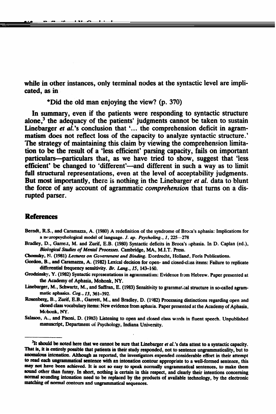while in other instances, only terminal nodes at the syntactic level are implicated, as in

\*Did the old man enjoying the view? (p. 370)

*212 E.* Zurif and *Y. Gmizinsky* 

In summary, even if the patients were responding to syntactic structure alone,<sup>3</sup> the adequacy of the patients' judgments cannot be taken to sustain Linebarger et  $a\hat{i}$ ,'s conclusion that '... the comprehension deficit in agrammatism does not reflect loss of the capacity to analyze syntactic structure.' The strategy of maintaining this claim by viewing the comprehension limitation to be the result of a 'less efficient' parsing capacity, fails on important particulars—particulars that, as we have tried to show, suggest that 'less efficient' be changed to 'different'—and different in such a way as to limit full structural representations, even at the level of acceptability judgments. But most importantly, there is nothing in the Linebarger et *al.* data to blunt the force of any account of agrammatic *comprehension* that turns on a disrupted parser.

## **References**

- Berndt, R.S., and Caramazza, A. (1980) A redefinition of the syndrome of Broca's aphasia: Implications for a neuropsychological model of language. *J. ap. Psycholing.*, 1, 225-278
- Bradley, D., Garrett, M. and Zurif, E.B. (1980) Syntactic deficits in Broca's aphasia. In D. Caplan (ed.), *Biological Studies of Mental Processes.* Cambridge, MA, M.I.T. Press.
- Chomsky, N. (1981) Lectures on Government and Binding. Dordrecht, Holland, Foris Publications.
- Gordon, B., and Caramazza, A. (1982) Lexical decision for open- and closed-class items: Failure to replicate differential frequency sensitivity. *Br. Lang.*, 15, 143-160.
- Grodzinsky, Y. (1982) Syntactic representations in agrammatism: Evidence from Hebrew. Paper presented at **the Academy of Aphasia, Mohonk, NY.**
- Linebarger, M., Schwartz, M., and Saffran, E. (1983) Sensitivity to grammatical structure in so-called agrammatic aphasics. Cog., 13, 361-392.
- Rosenberg, B., Zurif, E.B., Garrett, M., and Bradley, D. (1982) Processing distinctions regarding open and closed class vocabulary items: New evidence from aphasia. Paper presented at the Academy of Aphasia, Mchonk, NY.
- Salasoo, A., and Pisoni, D. (1983) Listening to open and closed class words in fluent speech. Unpublished **manuscript, Department of Psychology, Indiana University,**

<sup>&</sup>lt;sup>3</sup>It should be noted here that we cannot be sure that Linebarger et al.'s data attest to a syntactic capacity. That is, it is entirely possible that patients in their study responded, not to sentence ungrammaticality, but to anomalous intonation. Although as reported, the investigators expended considerable effort in their attempt to read each ungrammatical sentence with an intonation contour appropriate to a well-formed sentence, this **may sot Inave been achieved. It is not so easy to speak nomdy ungrammaticaI sentences, to make them d other than funny. In abort, nothing is certain in this respect, and clearly their intentions concerning**  normal sounding intonation need to be replaced by the products of available technology, by the electronic matching of normal contours and ungrammatical sequences.